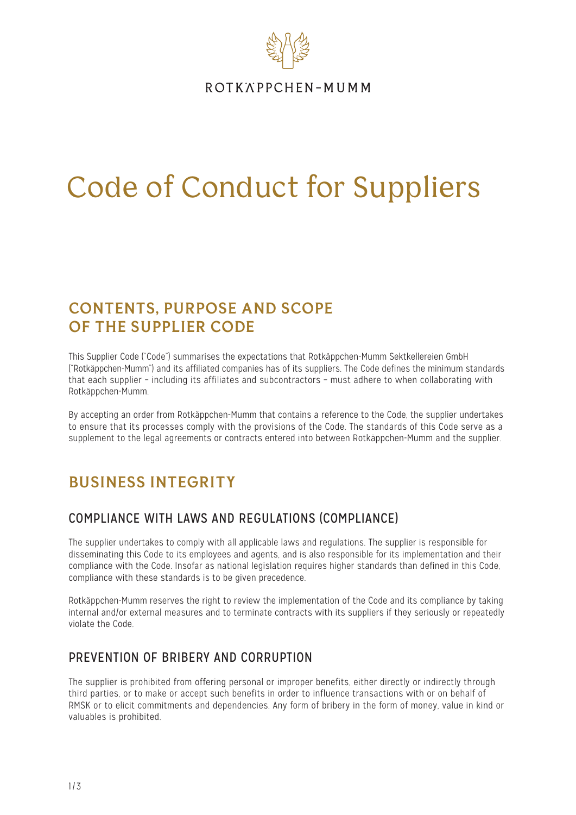

ROTKÄPPCHEN-MUMM

# Code of Conduct for Suppliers

## **CONTENTS, PURPOSE AND SCOPE OF THE SUPPLIER CODE**

This Supplier Code ("Code") summarises the expectations that Rotkäppchen-Mumm Sektkellereien GmbH ("Rotkäppchen-Mumm") and its affiliated companies has of its suppliers. The Code defines the minimum standards that each supplier – including its affiliates and subcontractors – must adhere to when collaborating with Rotkäppchen-Mumm.

By accepting an order from Rotkäppchen-Mumm that contains a reference to the Code, the supplier undertakes to ensure that its processes comply with the provisions of the Code. The standards of this Code serve as a supplement to the legal agreements or contracts entered into between Rotkäppchen-Mumm and the supplier.

# **BUSINESS INTEGRITY**

## COMPLIANCE WITH LAWS AND REGULATIONS (COMPLIANCE)

The supplier undertakes to comply with all applicable laws and regulations. The supplier is responsible for disseminating this Code to its employees and agents, and is also responsible for its implementation and their compliance with the Code. Insofar as national legislation requires higher standards than defined in this Code, compliance with these standards is to be given precedence.

Rotkäppchen-Mumm reserves the right to review the implementation of the Code and its compliance by taking internal and/or external measures and to terminate contracts with its suppliers if they seriously or repeatedly violate the Code.

## PREVENTION OF BRIBERY AND CORRUPTION

The supplier is prohibited from offering personal or improper benefits, either directly or indirectly through third parties, or to make or accept such benefits in order to influence transactions with or on behalf of RMSK or to elicit commitments and dependencies. Any form of bribery in the form of money, value in kind or valuables is prohibited.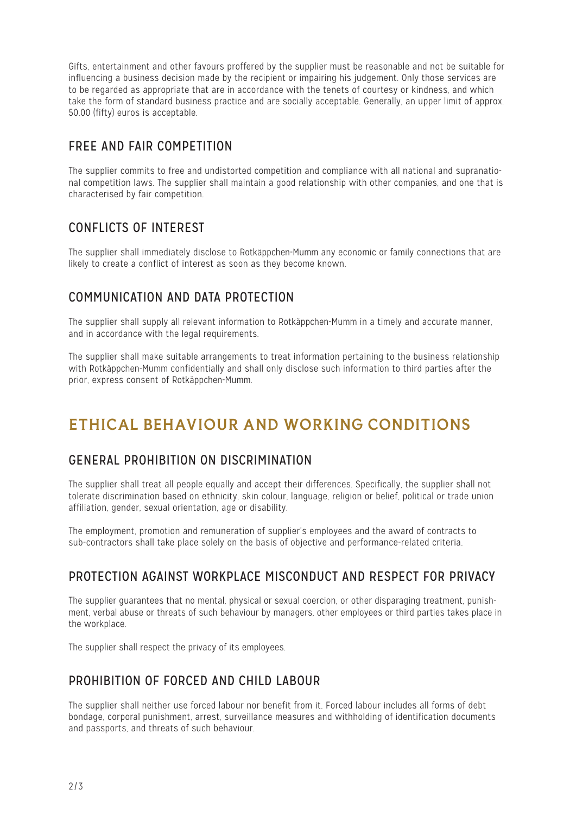Gifts, entertainment and other favours proffered by the supplier must be reasonable and not be suitable for influencing a business decision made by the recipient or impairing his judgement. Only those services are to be regarded as appropriate that are in accordance with the tenets of courtesy or kindness, and which take the form of standard business practice and are socially acceptable. Generally, an upper limit of approx. 50.00 (fifty) euros is acceptable.

## FREE AND FAIR COMPETITION

The supplier commits to free and undistorted competition and compliance with all national and supranational competition laws. The supplier shall maintain a good relationship with other companies, and one that is characterised by fair competition.

## CONFLICTS OF INTEREST

The supplier shall immediately disclose to Rotkäppchen-Mumm any economic or family connections that are likely to create a conflict of interest as soon as they become known.

## COMMUNICATION AND DATA PROTECTION

The supplier shall supply all relevant information to Rotkäppchen-Mumm in a timely and accurate manner, and in accordance with the legal requirements.

The supplier shall make suitable arrangements to treat information pertaining to the business relationship with Rotkäppchen-Mumm confidentially and shall only disclose such information to third parties after the prior, express consent of Rotkäppchen-Mumm.

# **ETHICAL BEHAVIOUR AND WORKING CONDITIONS**

## GENERAL PROHIBITION ON DISCRIMINATION

The supplier shall treat all people equally and accept their differences. Specifically, the supplier shall not tolerate discrimination based on ethnicity, skin colour, language, religion or belief, political or trade union affiliation, gender, sexual orientation, age or disability.

The employment, promotion and remuneration of supplier's employees and the award of contracts to sub-contractors shall take place solely on the basis of objective and performance-related criteria.

#### PROTECTION AGAINST WORKPLACE MISCONDUCT AND RESPECT FOR PRIVACY

The supplier guarantees that no mental, physical or sexual coercion, or other disparaging treatment, punishment, verbal abuse or threats of such behaviour by managers, other employees or third parties takes place in the workplace.

The supplier shall respect the privacy of its employees.

## PROHIBITION OF FORCED AND CHILD LABOUR

The supplier shall neither use forced labour nor benefit from it. Forced labour includes all forms of debt bondage, corporal punishment, arrest, surveillance measures and withholding of identification documents and passports, and threats of such behaviour.